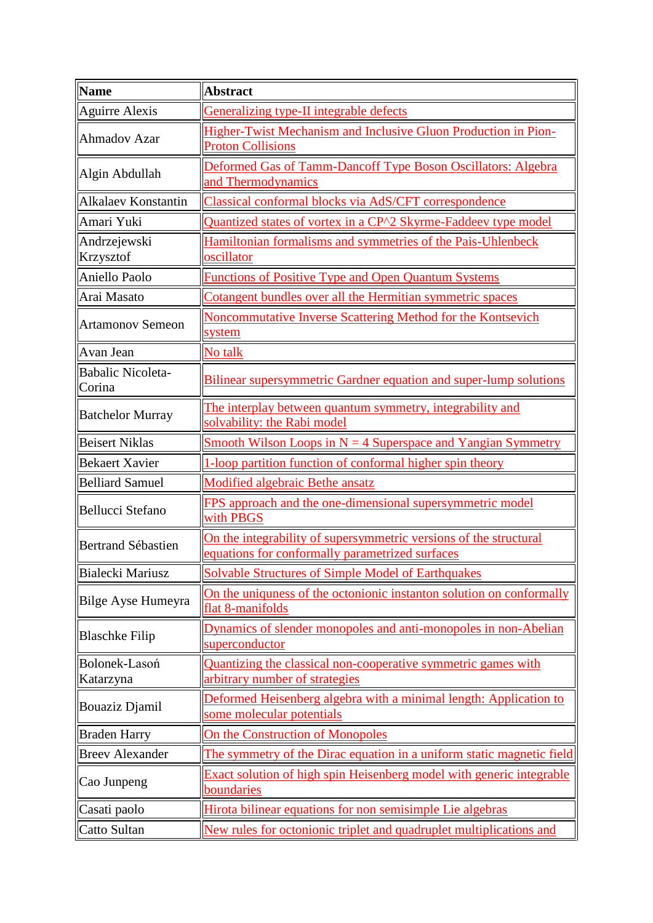| <b>Name</b>                        | <b>Abstract</b>                                                                                                      |
|------------------------------------|----------------------------------------------------------------------------------------------------------------------|
| Aguirre Alexis                     | <b>Generalizing type-II integrable defects</b>                                                                       |
| Ahmadov Azar                       | Higher-Twist Mechanism and Inclusive Gluon Production in Pion-                                                       |
|                                    | <b>Proton Collisions</b>                                                                                             |
| Algin Abdullah                     | Deformed Gas of Tamm-Dancoff Type Boson Oscillators: Algebra                                                         |
|                                    | and Thermodynamics                                                                                                   |
| Alkalaev Konstantin                | Classical conformal blocks via AdS/CFT correspondence                                                                |
| Amari Yuki                         | Quantized states of vortex in a CP^2 Skyrme-Faddeev type model                                                       |
| Andrzejewski<br>Krzysztof          | Hamiltonian formalisms and symmetries of the Pais-Uhlenbeck<br>oscillator                                            |
| Aniello Paolo                      | <b>Functions of Positive Type and Open Quantum Systems</b>                                                           |
| Arai Masato                        | Cotangent bundles over all the Hermitian symmetric spaces                                                            |
| <b>Artamonov Semeon</b>            | Noncommutative Inverse Scattering Method for the Kontsevich<br>system                                                |
| Avan Jean                          | No talk                                                                                                              |
| <b>Babalic Nicoleta-</b><br>Corina | <b>Bilinear supersymmetric Gardner equation and super-lump solutions</b>                                             |
| <b>Batchelor Murray</b>            | The interplay between quantum symmetry, integrability and<br>solvability: the Rabi model                             |
| <b>Beisert Niklas</b>              | <u>Smooth Wilson Loops in <math>N = 4</math> Superspace and Yangian Symmetry</u>                                     |
| <b>Bekaert Xavier</b>              | 1-loop partition function of conformal higher spin theory                                                            |
| <b>Belliard Samuel</b>             | <b>Modified algebraic Bethe ansatz</b>                                                                               |
| Bellucci Stefano                   | FPS approach and the one-dimensional supersymmetric model<br>with PBGS                                               |
| Bertrand Sébastien                 | On the integrability of supersymmetric versions of the structural<br>equations for conformally parametrized surfaces |
| Bialecki Mariusz                   | Solvable Structures of Simple Model of Earthquakes                                                                   |
| Bilge Ayse Humeyra                 | On the uniquess of the octonionic instanton solution on conformally<br>flat 8-manifolds                              |
| <b>Blaschke Filip</b>              | Dynamics of slender monopoles and anti-monopoles in non-Abelian<br>superconductor                                    |
| Bolonek-Lasoń<br>Katarzyna         | Quantizing the classical non-cooperative symmetric games with<br>arbitrary number of strategies                      |
| Bouaziz Djamil                     | Deformed Heisenberg algebra with a minimal length: Application to<br>some molecular potentials                       |
| <b>Braden Harry</b>                | On the Construction of Monopoles                                                                                     |
| <b>Breev Alexander</b>             | The symmetry of the Dirac equation in a uniform static magnetic field                                                |
| Cao Junpeng                        | Exact solution of high spin Heisenberg model with generic integrable<br><b>boundaries</b>                            |
| Casati paolo                       | Hirota bilinear equations for non semisimple Lie algebras                                                            |
| Catto Sultan                       | New rules for octonionic triplet and quadruplet multiplications and                                                  |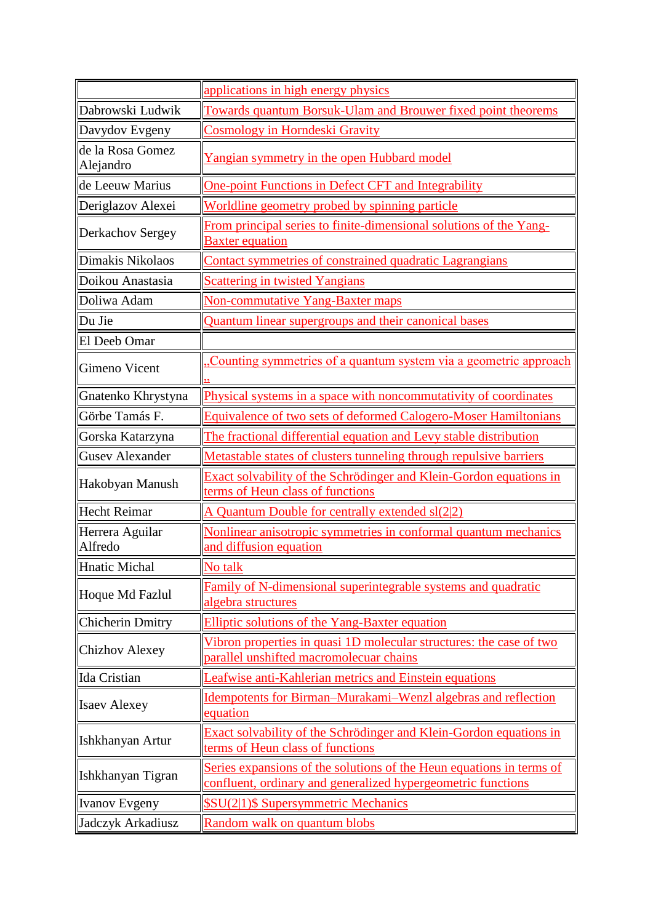|                               | applications in high energy physics                                                                                                  |
|-------------------------------|--------------------------------------------------------------------------------------------------------------------------------------|
| Dabrowski Ludwik              | Towards quantum Borsuk-Ulam and Brouwer fixed point theorems                                                                         |
| Davydov Evgeny                | <b>Cosmology in Horndeski Gravity</b>                                                                                                |
| de la Rosa Gomez<br>Alejandro | Yangian symmetry in the open Hubbard model                                                                                           |
| de Leeuw Marius               | <b>One-point Functions in Defect CFT and Integrability</b>                                                                           |
| Deriglazov Alexei             | Worldline geometry probed by spinning particle                                                                                       |
| Derkachov Sergey              | From principal series to finite-dimensional solutions of the Yang-<br><b>Baxter equation</b>                                         |
| Dimakis Nikolaos              | <b>Contact symmetries of constrained quadratic Lagrangians</b>                                                                       |
| Doikou Anastasia              | <b>Scattering in twisted Yangians</b>                                                                                                |
| Doliwa Adam                   | <b>Non-commutative Yang-Baxter maps</b>                                                                                              |
| Du Jie                        | Quantum linear supergroups and their canonical bases                                                                                 |
| El Deeb Omar                  |                                                                                                                                      |
| <b>Gimeno Vicent</b>          | Counting symmetries of a quantum system via a geometric approach                                                                     |
| Gnatenko Khrystyna            | Physical systems in a space with noncommutativity of coordinates                                                                     |
| Görbe Tamás F.                | <b>Equivalence of two sets of deformed Calogero-Moser Hamiltonians</b>                                                               |
| Gorska Katarzyna              | The fractional differential equation and Levy stable distribution                                                                    |
| <b>Gusev Alexander</b>        | Metastable states of clusters tunneling through repulsive barriers                                                                   |
| Hakobyan Manush               | Exact solvability of the Schrödinger and Klein-Gordon equations in<br>terms of Heun class of functions                               |
| <b>Hecht Reimar</b>           | A Quantum Double for centrally extended sl(2 2)                                                                                      |
| Herrera Aguilar<br>Alfredo    | Nonlinear anisotropic symmetries in conformal quantum mechanics<br>and diffusion equation                                            |
| Hnatic Michal                 | No talk                                                                                                                              |
| Hoque Md Fazlul               | Family of N-dimensional superintegrable systems and quadratic<br>algebra structures                                                  |
| Chicherin Dmitry              | Elliptic solutions of the Yang-Baxter equation                                                                                       |
| <b>Chizhov Alexey</b>         | Vibron properties in quasi 1D molecular structures: the case of two<br>parallel unshifted macromolecuar chains                       |
| Ida Cristian                  | Leafwise anti-Kahlerian metrics and Einstein equations                                                                               |
| <b>Isaev Alexey</b>           | Idempotents for Birman-Murakami-Wenzl algebras and reflection<br>equation                                                            |
| Ishkhanyan Artur              | Exact solvability of the Schrödinger and Klein-Gordon equations in<br>terms of Heun class of functions                               |
| Ishkhanyan Tigran             | Series expansions of the solutions of the Heun equations in terms of<br>confluent, ordinary and generalized hypergeometric functions |
| Ivanov Evgeny                 | <b>\$SU(2 1)\$ Supersymmetric Mechanics</b>                                                                                          |
| Jadczyk Arkadiusz             | Random walk on quantum blobs                                                                                                         |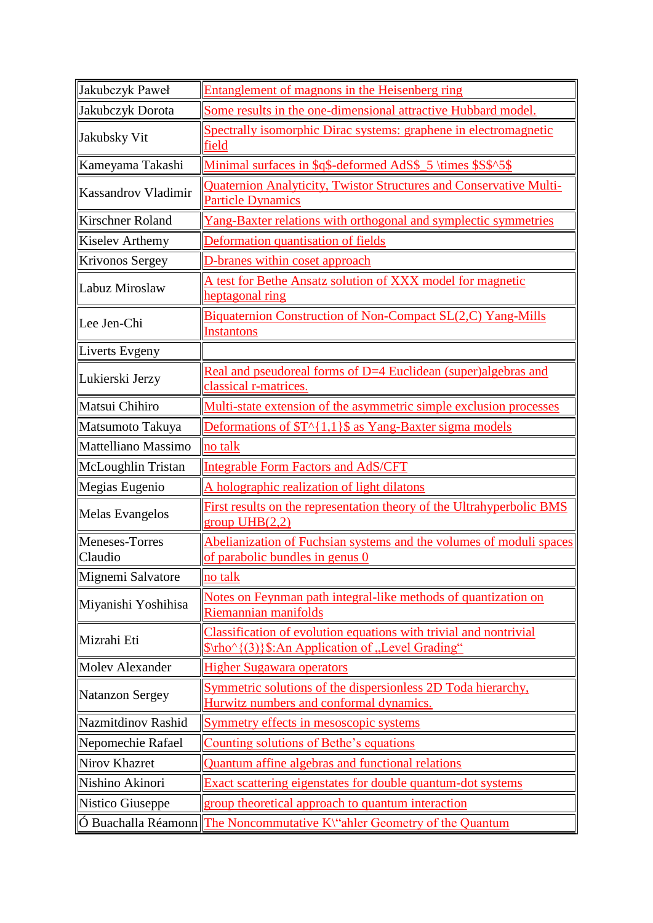| Jakubczyk Paweł                  | <b>Entanglement of magnons in the Heisenberg ring</b>                                                                 |
|----------------------------------|-----------------------------------------------------------------------------------------------------------------------|
| Jakubczyk Dorota                 | Some results in the one-dimensional attractive Hubbard model.                                                         |
| Jakubsky Vit                     | Spectrally isomorphic Dirac systems: graphene in electromagnetic<br><u>field</u>                                      |
| Kameyama Takashi                 | Minimal surfaces in \$q\$-deformed AdS\$_5 \times \$S\$^5\$                                                           |
| Kassandrov Vladimir              | <b>Quaternion Analyticity, Twistor Structures and Conservative Multi-</b><br><b>Particle Dynamics</b>                 |
| <b>Kirschner Roland</b>          | Yang-Baxter relations with orthogonal and symplectic symmetries                                                       |
| <b>Kiselev Arthemy</b>           | Deformation quantisation of fields                                                                                    |
| Krivonos Sergey                  | D-branes within coset approach                                                                                        |
| Labuz Miroslaw                   | A test for Bethe Ansatz solution of XXX model for magnetic<br>heptagonal ring                                         |
| Lee Jen-Chi                      | <b>Biquaternion Construction of Non-Compact SL(2,C) Yang-Mills</b><br><b>Instantons</b>                               |
| Liverts Evgeny                   |                                                                                                                       |
| Lukierski Jerzy                  | Real and pseudoreal forms of D=4 Euclidean (super)algebras and<br>classical r-matrices.                               |
| Matsui Chihiro                   | Multi-state extension of the asymmetric simple exclusion processes                                                    |
| Matsumoto Takuya                 | Deformations of $T^{(1,1)}$ \$ as Yang-Baxter sigma models                                                            |
| Mattelliano Massimo              | no talk                                                                                                               |
| McLoughlin Tristan               | <b>Integrable Form Factors and AdS/CFT</b>                                                                            |
| Megias Eugenio                   | A holographic realization of light dilatons                                                                           |
| <b>Melas Evangelos</b>           | First results on the representation theory of the Ultrahyperbolic BMS<br>group $UHB(2,2)$                             |
| <b>Meneses-Torres</b><br>Claudio | Abelianization of Fuchsian systems and the volumes of moduli spaces<br>of parabolic bundles in genus 0                |
| Mignemi Salvatore                | no talk                                                                                                               |
| Miyanishi Yoshihisa              | Notes on Feynman path integral-like methods of quantization on<br>Riemannian manifolds                                |
| Mizrahi Eti                      | Classification of evolution equations with trivial and nontrivial<br>\$\rho^{(3)}\$:An Application of "Level Grading" |
| <b>Molev Alexander</b>           | <b>Higher Sugawara operators</b>                                                                                      |
| <b>Natanzon Sergey</b>           | Symmetric solutions of the dispersionless 2D Toda hierarchy,<br>Hurwitz numbers and conformal dynamics.               |
| Nazmitdinov Rashid               | <b>Symmetry effects in mesoscopic systems</b>                                                                         |
| Nepomechie Rafael                | Counting solutions of Bethe's equations                                                                               |
| Nirov Khazret                    | Quantum affine algebras and functional relations                                                                      |
| Nishino Akinori                  | Exact scattering eigenstates for double quantum-dot systems                                                           |
| Nistico Giuseppe                 | group theoretical approach to quantum interaction                                                                     |
|                                  | O Buachalla Réamonn The Noncommutative K\"ahler Geometry of the Quantum                                               |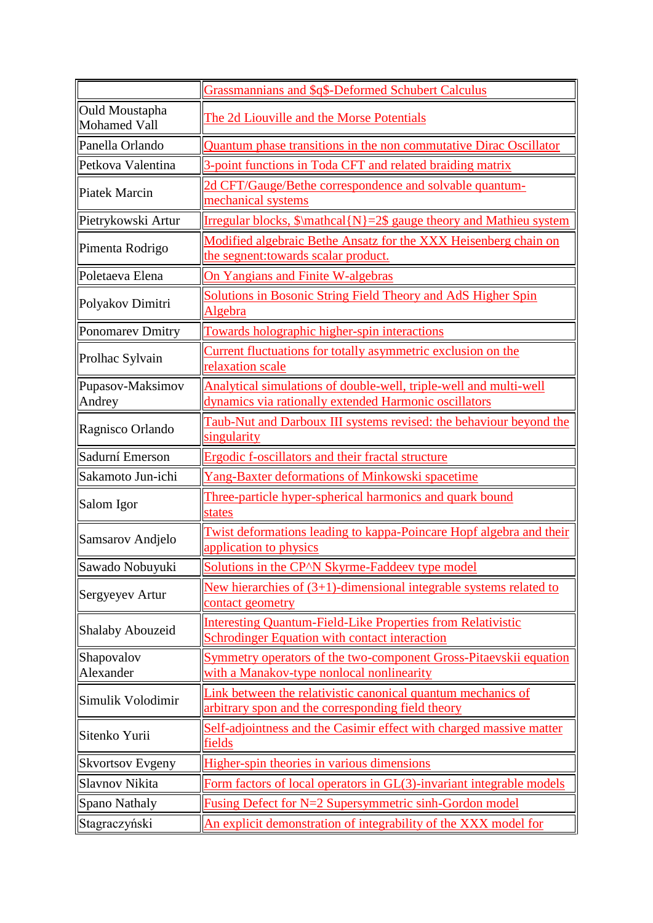|                                | <b>Grassmannians and \$q\$-Deformed Schubert Calculus</b>                                                                  |
|--------------------------------|----------------------------------------------------------------------------------------------------------------------------|
| Ould Moustapha<br>Mohamed Vall | The 2d Liouville and the Morse Potentials                                                                                  |
| Panella Orlando                | Quantum phase transitions in the non commutative Dirac Oscillator                                                          |
| Petkova Valentina              | 3-point functions in Toda CFT and related braiding matrix                                                                  |
| Piatek Marcin                  | 2d CFT/Gauge/Bethe correspondence and solvable quantum-<br>mechanical systems                                              |
| Pietrykowski Artur             | Irregular blocks, $\mathcal{N}=2\$ gauge theory and Mathieu system                                                         |
| Pimenta Rodrigo                | Modified algebraic Bethe Ansatz for the XXX Heisenberg chain on<br>the segnent: towards scalar product.                    |
| Poletaeva Elena                | On Yangians and Finite W-algebras                                                                                          |
| Polyakov Dimitri               | <b>Solutions in Bosonic String Field Theory and AdS Higher Spin</b><br>Algebra                                             |
| Ponomarev Dmitry               | Towards holographic higher-spin interactions                                                                               |
| Prolhac Sylvain                | Current fluctuations for totally asymmetric exclusion on the<br>relaxation scale                                           |
| Pupasov-Maksimov<br>Andrey     | Analytical simulations of double-well, triple-well and multi-well<br>dynamics via rationally extended Harmonic oscillators |
| Ragnisco Orlando               | Taub-Nut and Darboux III systems revised: the behaviour beyond the<br>singularity                                          |
| Sadurní Emerson                | Ergodic f-oscillators and their fractal structure                                                                          |
| Sakamoto Jun-ichi              | Yang-Baxter deformations of Minkowski spacetime                                                                            |
| Salom Igor                     | Three-particle hyper-spherical harmonics and quark bound<br>states                                                         |
| Samsarov Andjelo               | Twist deformations leading to kappa-Poincare Hopf algebra and their<br>application to physics                              |
| Sawado Nobuyuki                | Solutions in the CP <sup><math>\wedge</math></sup> N Skyrme-Faddeev type model                                             |
| Sergyeyev Artur                | New hierarchies of $(3+1)$ -dimensional integrable systems related to<br>contact geometry                                  |
| Shalaby Abouzeid               | <b>Interesting Quantum-Field-Like Properties from Relativistic</b><br><b>Schrodinger Equation with contact interaction</b> |
| Shapovalov<br>Alexander        | Symmetry operators of the two-component Gross-Pitaevskii equation<br>with a Manakov-type nonlocal nonlinearity             |
| Simulik Volodimir              | Link between the relativistic canonical quantum mechanics of<br>arbitrary spon and the corresponding field theory          |
| Sitenko Yurii                  | Self-adjointness and the Casimir effect with charged massive matter<br>fields                                              |
| <b>Skvortsov Evgeny</b>        | Higher-spin theories in various dimensions                                                                                 |
| Slavnov Nikita                 | Form factors of local operators in GL(3)-invariant integrable models                                                       |
| Spano Nathaly                  | <b>Fusing Defect for N=2 Supersymmetric sinh-Gordon model</b>                                                              |
| Stagraczyński                  | An explicit demonstration of integrability of the XXX model for                                                            |